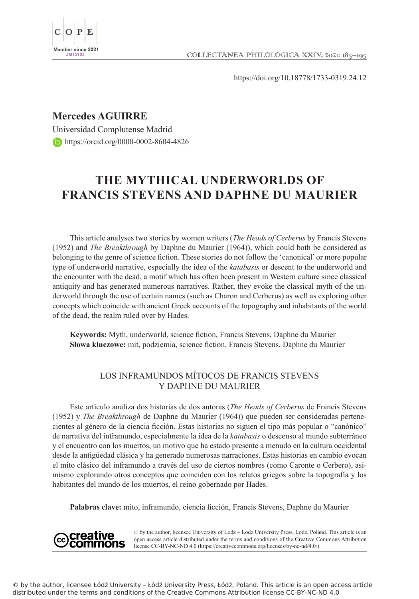

https://doi.org/10.18778/1733-0319.24.12

## **Mercedes AGUIRRE**

creative

Universidad Complutense Madrid https://orcid.org/0000-0002-8604-4826

# **THE MYTHICAL UNDERWORLDS OF FRANCIS STEVENS AND DAPHNE DU MAURIER**

This article analyses two stories by women writers (*The Heads of Cerberus* by Francis Stevens (1952) and *The Breakthrough* by Daphne du Maurier (1964)), which could both be considered as belonging to the genre of science fiction. These stories do not follow the 'canonical' or more popular type of underworld narrative, especially the idea of the *katabasis* or descent to the underworld and the encounter with the dead, a motif which has often been present in Western culture since classical antiquity and has generated numerous narratives. Rather, they evoke the classical myth of the underworld through the use of certain names (such as Charon and Cerberus) as well as exploring other concepts which coincide with ancient Greek accounts of the topography and inhabitants of the world of the dead, the realm ruled over by Hades.

**Keywords:** Myth, underworld, science fiction, Francis Stevens, Daphne du Maurier **Słowa kluczowe:** mit, podziemia, science fiction, Francis Stevens, Daphne du Maurier

### LOS INFRAMUNDOS MÍTOCOS DE FRANCIS STEVENS Y DAPHNE DU MAURIER

Este artículo analiza dos historias de dos autoras (*The Heads of Cerberus* de Francis Stevens (1952) y *The Breakthrough* de Daphne du Maurier (1964)) que pueden ser consideradas pertenecientes al género de la ciencia ficción. Estas historias no siguen el tipo más popular o "canónico" de narrativa del inframundo, especialmente la idea de la *katabasis* o descenso al mundo subterráneo y el encuentro con los muertos, un motivo que ha estado presente a menudo en la cultura occidental desde la antigüedad clásica y ha generado numerosas narraciones. Estas historias en cambio evocan el mito clásico del inframundo a través del uso de ciertos nombres (como Caronte o Cerbero), asimismo explorando otros conceptos que coinciden con los relatos griegos sobre la topografía y los habitantes del mundo de los muertos, el reino gobernado por Hades.

**Palabras clave:** mito, inframundo, ciencia ficción, Francis Stevens, Daphne du Maurier

© by the author, licensee University of Lodz – Lodz University Press, Lodz, Poland. This article is an open access article distributed under the terms and conditions of the Creative Commons Attribution license CC-BY-NC-ND 4.0 (https://creativecommons.org/licenses/by-nc-nd/4.0/)

© by the author, licensee Łódź University – Łódź University Press, Łódź, Poland. This article is an open access article distributed under the terms and conditions of the Creative Commons Attribution license CC-BY-NC-ND 4.0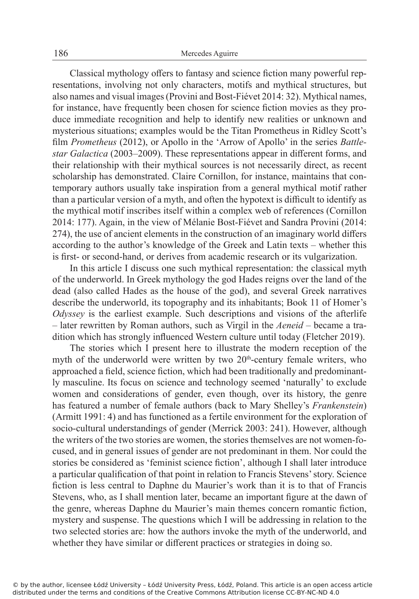Classical mythology offers to fantasy and science fiction many powerful representations, involving not only characters, motifs and mythical structures, but also names and visual images (Provini and Bost-Fiévet 2014: 32). Mythical names, for instance, have frequently been chosen for science fiction movies as they produce immediate recognition and help to identify new realities or unknown and mysterious situations; examples would be the Titan Prometheus in Ridley Scott's film *Prometheus* (2012), or Apollo in the 'Arrow of Apollo' in the series *Battlestar Galactica* (2003–2009). These representations appear in different forms, and their relationship with their mythical sources is not necessarily direct, as recent scholarship has demonstrated. Claire Cornillon, for instance, maintains that contemporary authors usually take inspiration from a general mythical motif rather than a particular version of a myth, and often the hypotext is difficult to identify as the mythical motif inscribes itself within a complex web of references (Cornillon 2014: 177). Again, in the view of Mélanie Bost-Fiévet and Sandra Provini (2014: 274), the use of ancient elements in the construction of an imaginary world differs according to the author's knowledge of the Greek and Latin texts – whether this is first- or second-hand, or derives from academic research or its vulgarization.

In this article I discuss one such mythical representation: the classical myth of the underworld. In Greek mythology the god Hades reigns over the land of the dead (also called Hades as the house of the god), and several Greek narratives describe the underworld, its topography and its inhabitants; Book 11 of Homer's *Odyssey* is the earliest example. Such descriptions and visions of the afterlife – later rewritten by Roman authors, such as Virgil in the *Aeneid* – became a tradition which has strongly influenced Western culture until today (Fletcher 2019).

The stories which I present here to illustrate the modern reception of the myth of the underworld were written by two  $20<sup>th</sup>$ -century female writers, who approached a field, science fiction, which had been traditionally and predominantly masculine. Its focus on science and technology seemed 'naturally' to exclude women and considerations of gender, even though, over its history, the genre has featured a number of female authors (back to Mary Shelley's *Frankenstein*) (Armitt 1991: 4) and has functioned as a fertile environment for the exploration of socio-cultural understandings of gender (Merrick 2003: 241). However, although the writers of the two stories are women, the stories themselves are not women-focused, and in general issues of gender are not predominant in them. Nor could the stories be considered as 'feminist science fiction', although I shall later introduce a particular qualification of that point in relation to Francis Stevens' story. Science fiction is less central to Daphne du Maurier's work than it is to that of Francis Stevens, who, as I shall mention later, became an important figure at the dawn of the genre, whereas Daphne du Maurier's main themes concern romantic fiction, mystery and suspense. The questions which I will be addressing in relation to the two selected stories are: how the authors invoke the myth of the underworld, and whether they have similar or different practices or strategies in doing so.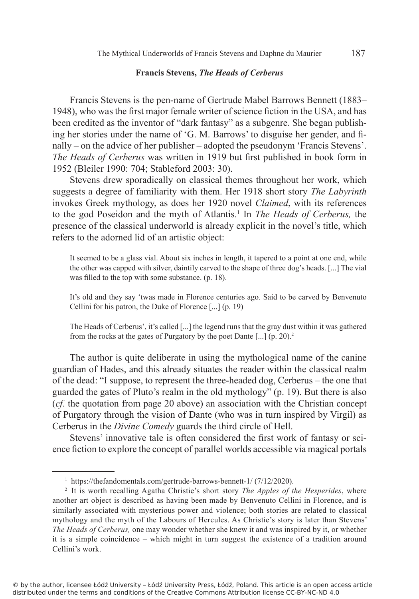#### **Francis Stevens,** *The Heads of Cerberus*

Francis Stevens is the pen-name of Gertrude Mabel Barrows Bennett (1883– 1948), who was the first major female writer of science fiction in the USA, and has been credited as the inventor of "dark fantasy" as a subgenre. She began publishing her stories under the name of 'G. M. Barrows' to disguise her gender, and finally – on the advice of her publisher – adopted the pseudonym 'Francis Stevens'. *The Heads of Cerberus* was written in 1919 but first published in book form in 1952 (Bleiler 1990: 704; Stableford 2003: 30).

Stevens drew sporadically on classical themes throughout her work, which suggests a degree of familiarity with them. Her 1918 short story *The Labyrinth* invokes Greek mythology, as does her 1920 novel *Claimed*, with its references to the god Poseidon and the myth of Atlantis.<sup>1</sup> In *The Heads of Cerberus,* the presence of the classical underworld is already explicit in the novel's title, which refers to the adorned lid of an artistic object:

It seemed to be a glass vial. About six inches in length, it tapered to a point at one end, while the other was capped with silver, daintily carved to the shape of three dog's heads. [...] The vial was filled to the top with some substance. (p. 18).

It's old and they say 'twas made in Florence centuries ago. Said to be carved by Benvenuto Cellini for his patron, the Duke of Florence [...] (p. 19)

The Heads of Cerberus', it's called [...] the legend runs that the gray dust within it was gathered from the rocks at the gates of Purgatory by the poet Dante [...] (p. 20).<sup>2</sup>

The author is quite deliberate in using the mythological name of the canine guardian of Hades, and this already situates the reader within the classical realm of the dead: "I suppose, to represent the three-headed dog, Cerberus – the one that guarded the gates of Pluto's realm in the old mythology" (p. 19). But there is also (*cf*. the quotation from page 20 above) an association with the Christian concept of Purgatory through the vision of Dante (who was in turn inspired by Virgil) as Cerberus in the *Divine Comedy* guards the third circle of Hell.

Stevens' innovative tale is often considered the first work of fantasy or science fiction to explore the concept of parallel worlds accessible via magical portals

<sup>&</sup>lt;sup>1</sup> https://thefandomentals.com/gertrude-barrows-bennett-1/ (7/12/2020).

<sup>2</sup> It is worth recalling Agatha Christie's short story *The Apples of the Hesperides*, where another art object is described as having been made by Benvenuto Cellini in Florence, and is similarly associated with mysterious power and violence; both stories are related to classical mythology and the myth of the Labours of Hercules. As Christie's story is later than Stevens' *The Heads of Cerberus,* one may wonder whether she knew it and was inspired by it, or whether it is a simple coincidence – which might in turn suggest the existence of a tradition around Cellini's work.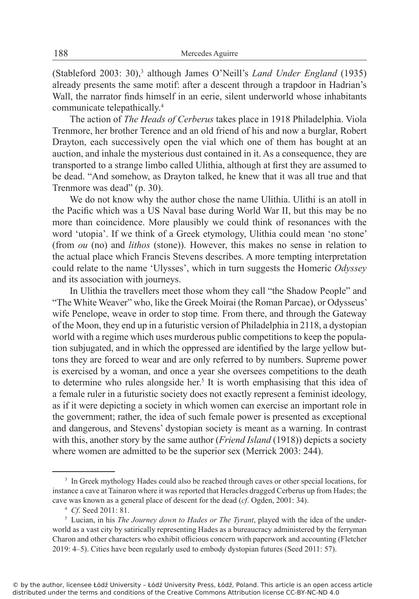(Stableford 2003: 30),<sup>3</sup> although James O'Neill's *Land Under England* (1935) already presents the same motif: after a descent through a trapdoor in Hadrian's Wall, the narrator finds himself in an eerie, silent underworld whose inhabitants communicate telepathically.<sup>4</sup>

The action of *The Heads of Cerberus* takes place in 1918 Philadelphia. Viola Trenmore, her brother Terence and an old friend of his and now a burglar, Robert Drayton, each successively open the vial which one of them has bought at an auction, and inhale the mysterious dust contained in it. As a consequence, they are transported to a strange limbo called Ulithia, although at first they are assumed to be dead. "And somehow, as Drayton talked, he knew that it was all true and that Trenmore was dead" (p. 30).

We do not know why the author chose the name Ulithia. Ulithi is an atoll in the Pacific which was a US Naval base during World War II, but this may be no more than coincidence. More plausibly we could think of resonances with the word 'utopia'. If we think of a Greek etymology, Ulithia could mean 'no stone' (from *ou* (no) and *lithos* (stone)). However, this makes no sense in relation to the actual place which Francis Stevens describes. A more tempting interpretation could relate to the name 'Ulysses', which in turn suggests the Homeric *Odyssey*  and its association with journeys.

In Ulithia the travellers meet those whom they call "the Shadow People" and "The White Weaver" who, like the Greek Moirai (the Roman Parcae), or Odysseus' wife Penelope, weave in order to stop time. From there, and through the Gateway of the Moon, they end up in a futuristic version of Philadelphia in 2118, a dystopian world with a regime which uses murderous public competitions to keep the population subjugated, and in which the oppressed are identified by the large yellow buttons they are forced to wear and are only referred to by numbers. Supreme power is exercised by a woman, and once a year she oversees competitions to the death to determine who rules alongside her.<sup>5</sup> It is worth emphasising that this idea of a female ruler in a futuristic society does not exactly represent a feminist ideology, as if it were depicting a society in which women can exercise an important role in the government; rather, the idea of such female power is presented as exceptional and dangerous, and Stevens' dystopian society is meant as a warning. In contrast with this, another story by the same author (*Friend Island* (1918)) depicts a society where women are admitted to be the superior sex (Merrick 2003: 244).

<sup>3</sup> In Greek mythology Hades could also be reached through caves or other special locations, for instance a cave at Tainaron where it was reported that Heracles dragged Cerberus up from Hades; the cave was known as a general place of descent for the dead (*cf*. Ogden, 2001: 34).

<sup>4</sup> *Cf*. Seed 2011: 81.

<sup>5</sup> Lucian, in his *The Journey down to Hades or The Tyrant*, played with the idea of the underworld as a vast city by satirically representing Hades as a bureaucracy administered by the ferryman Charon and other characters who exhibit officious concern with paperwork and accounting (Fletcher 2019: 4–5). Cities have been regularly used to embody dystopian futures (Seed 2011: 57).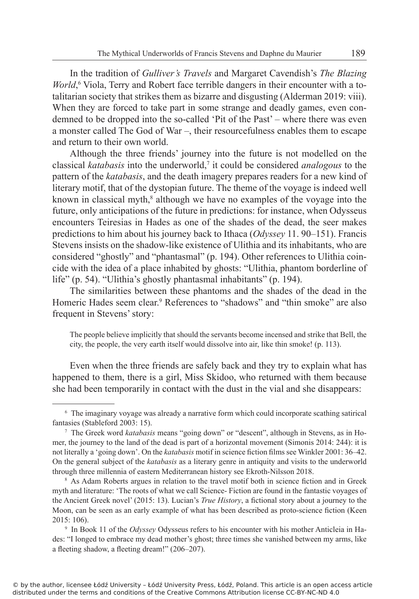In the tradition of *Gulliver's Travels* and Margaret Cavendish's *The Blazing World*, <sup>6</sup> Viola, Terry and Robert face terrible dangers in their encounter with a totalitarian society that strikes them as bizarre and disgusting (Alderman 2019: viii). When they are forced to take part in some strange and deadly games, even condemned to be dropped into the so-called 'Pit of the Past' – where there was even a monster called The God of War –, their resourcefulness enables them to escape and return to their own world.

Although the three friends' journey into the future is not modelled on the classical *katabasis* into the underworld,<sup>7</sup> it could be considered *analogous* to the pattern of the *katabasis*, and the death imagery prepares readers for a new kind of literary motif, that of the dystopian future. The theme of the voyage is indeed well known in classical myth,<sup>8</sup> although we have no examples of the voyage into the future, only anticipations of the future in predictions: for instance, when Odysseus encounters Teiresias in Hades as one of the shades of the dead, the seer makes predictions to him about his journey back to Ithaca (*Odyssey* 11. 90–151). Francis Stevens insists on the shadow-like existence of Ulithia and its inhabitants, who are considered "ghostly" and "phantasmal" (p. 194). Other references to Ulithia coincide with the idea of a place inhabited by ghosts: "Ulithia, phantom borderline of life" (p. 54). "Ulithia's ghostly phantasmal inhabitants" (p. 194).

The similarities between these phantoms and the shades of the dead in the Homeric Hades seem clear.<sup>9</sup> References to "shadows" and "thin smoke" are also frequent in Stevens' story:

The people believe implicitly that should the servants become incensed and strike that Bell, the city, the people, the very earth itself would dissolve into air, like thin smoke! (p. 113).

Even when the three friends are safely back and they try to explain what has happened to them, there is a girl, Miss Skidoo, who returned with them because she had been temporarily in contact with the dust in the vial and she disappears:

<sup>6</sup> The imaginary voyage was already a narrative form which could incorporate scathing satirical fantasies (Stableford 2003: 15).

<sup>7</sup> The Greek word *katabasis* means "going down" or "descent", although in Stevens, as in Homer, the journey to the land of the dead is part of a horizontal movement (Simonis 2014: 244): it is not literally a 'going down'. On the *katabasis* motif in science fiction films see Winkler 2001: 36–42. On the general subject of the *katabasis* as a literary genre in antiquity and visits to the underworld through three millennia of eastern Mediterranean history see Ekroth-Nilsson 2018.

<sup>8</sup> As Adam Roberts argues in relation to the travel motif both in science fiction and in Greek myth and literature: 'The roots of what we call Science- Fiction are found in the fantastic voyages of the Ancient Greek novel' (2015: 13). Lucian's *True History*, a fictional story about a journey to the Moon, can be seen as an early example of what has been described as proto-science fiction (Keen 2015: 106).

<sup>9</sup> In Book 11 of the *Odyssey* Odysseus refers to his encounter with his mother Anticleia in Hades: "I longed to embrace my dead mother's ghost; three times she vanished between my arms, like a fleeting shadow, a fleeting dream!" (206–207).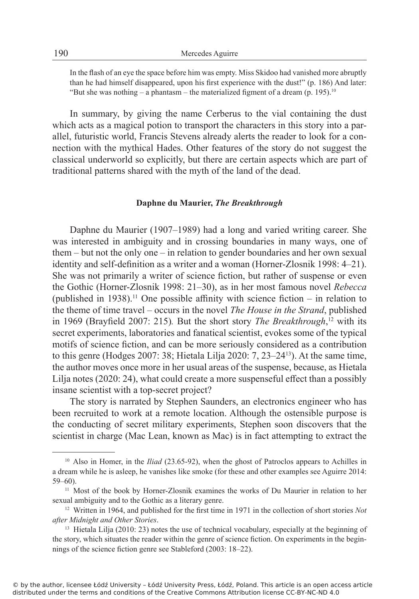In the flash of an eye the space before him was empty. Miss Skidoo had vanished more abruptly than he had himself disappeared, upon his first experience with the dust!" (p. 186) And later: "But she was nothing – a phantasm – the materialized figment of a dream  $(p. 195)^{10}$ 

In summary, by giving the name Cerberus to the vial containing the dust which acts as a magical potion to transport the characters in this story into a parallel, futuristic world, Francis Stevens already alerts the reader to look for a connection with the mythical Hades. Other features of the story do not suggest the classical underworld so explicitly, but there are certain aspects which are part of traditional patterns shared with the myth of the land of the dead.

#### **Daphne du Maurier,** *The Breakthrough*

Daphne du Maurier (1907–1989) had a long and varied writing career. She was interested in ambiguity and in crossing boundaries in many ways, one of them – but not the only one – in relation to gender boundaries and her own sexual identity and self-definition as a writer and a woman (Horner-Zlosnik 1998: 4–21). She was not primarily a writer of science fiction, but rather of suspense or even the Gothic (Horner-Zlosnik 1998: 21–30), as in her most famous novel *Rebecca* (published in 1938).<sup>11</sup> One possible affinity with science fiction – in relation to the theme of time travel – occurs in the novel *The House in the Strand*, published in 1969 (Brayfield 2007: 215)*.* But the short story *The Breakthrough*, <sup>12</sup> with its secret experiments, laboratories and fanatical scientist, evokes some of the typical motifs of science fiction, and can be more seriously considered as a contribution to this genre (Hodges 2007: 38; Hietala Lilja 2020: 7, 23–24<sup>13</sup>). At the same time, the author moves once more in her usual areas of the suspense, because, as Hietala Lilja notes (2020: 24), what could create a more suspenseful effect than a possibly insane scientist with a top-secret project?

The story is narrated by Stephen Saunders, an electronics engineer who has been recruited to work at a remote location. Although the ostensible purpose is the conducting of secret military experiments, Stephen soon discovers that the scientist in charge (Mac Lean, known as Mac) is in fact attempting to extract the

<sup>&</sup>lt;sup>10</sup> Also in Homer, in the *Iliad* (23.65-92), when the ghost of Patroclos appears to Achilles in a dream while he is asleep, he vanishes like smoke (for these and other examples see Aguirre 2014: 59–60).

<sup>&</sup>lt;sup>11</sup> Most of the book by Horner-Zlosnik examines the works of Du Maurier in relation to her sexual ambiguity and to the Gothic as a literary genre.

<sup>12</sup> Written in 1964, and published for the first time in 1971 in the collection of short stories *Not after Midnight and Other Stories*.

<sup>&</sup>lt;sup>13</sup> Hietala Lilja (2010: 23) notes the use of technical vocabulary, especially at the beginning of the story, which situates the reader within the genre of science fiction. On experiments in the beginnings of the science fiction genre see Stableford (2003: 18–22).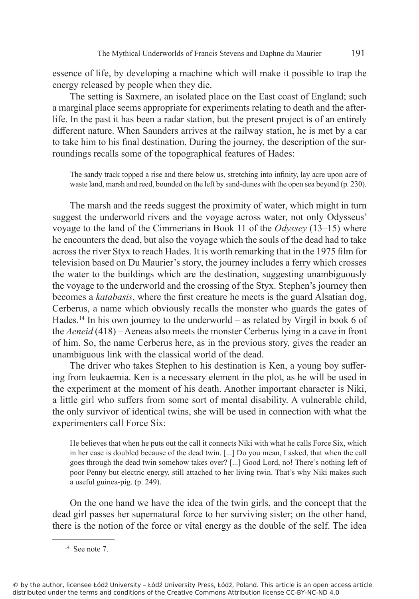essence of life, by developing a machine which will make it possible to trap the energy released by people when they die.

The setting is Saxmere, an isolated place on the East coast of England; such a marginal place seems appropriate for experiments relating to death and the afterlife. In the past it has been a radar station, but the present project is of an entirely different nature. When Saunders arrives at the railway station, he is met by a car to take him to his final destination. During the journey, the description of the surroundings recalls some of the topographical features of Hades:

The sandy track topped a rise and there below us, stretching into infinity, lay acre upon acre of waste land, marsh and reed, bounded on the left by sand-dunes with the open sea beyond (p. 230).

The marsh and the reeds suggest the proximity of water, which might in turn suggest the underworld rivers and the voyage across water, not only Odysseus' voyage to the land of the Cimmerians in Book 11 of the *Odyssey* (13–15) where he encounters the dead, but also the voyage which the souls of the dead had to take across the river Styx to reach Hades. It is worth remarking that in the 1975 film for television based on Du Maurier's story, the journey includes a ferry which crosses the water to the buildings which are the destination, suggesting unambiguously the voyage to the underworld and the crossing of the Styx. Stephen's journey then becomes a *katabasis*, where the first creature he meets is the guard Alsatian dog, Cerberus, a name which obviously recalls the monster who guards the gates of Hades.<sup>14</sup> In his own journey to the underworld – as related by Virgil in book 6 of the *Aeneid* (418) – Aeneas also meets the monster Cerberus lying in a cave in front of him. So, the name Cerberus here, as in the previous story, gives the reader an unambiguous link with the classical world of the dead.

The driver who takes Stephen to his destination is Ken, a young boy suffering from leukaemia. Ken is a necessary element in the plot, as he will be used in the experiment at the moment of his death. Another important character is Niki, a little girl who suffers from some sort of mental disability. A vulnerable child, the only survivor of identical twins, she will be used in connection with what the experimenters call Force Six:

He believes that when he puts out the call it connects Niki with what he calls Force Six, which in her case is doubled because of the dead twin. [...] Do you mean, I asked, that when the call goes through the dead twin somehow takes over? [...] Good Lord, no! There's nothing left of poor Penny but electric energy, still attached to her living twin. That's why Niki makes such a useful guinea-pig. (p. 249).

On the one hand we have the idea of the twin girls, and the concept that the dead girl passes her supernatural force to her surviving sister; on the other hand, there is the notion of the force or vital energy as the double of the self. The idea

© by the author, licensee Łódź University – Łódź University Press, Łódź, Poland. This article is an open access article distributed under the terms and conditions of the Creative Commons Attribution license CC-BY-NC-ND 4.0

<sup>&</sup>lt;sup>14</sup> See note 7.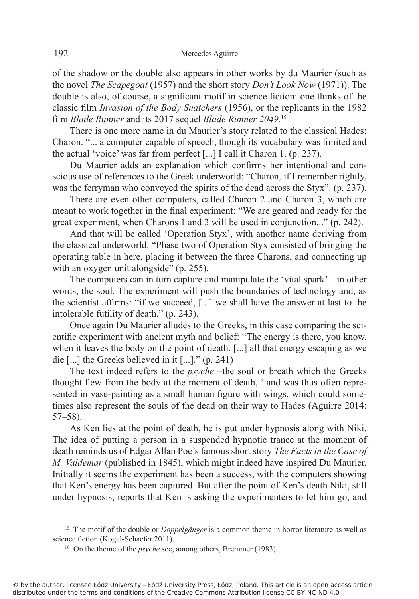of the shadow or the double also appears in other works by du Maurier (such as the novel *The Scapegoat* (1957) and the short story *Don't Look Now* (1971)). The double is also, of course, a significant motif in science fiction: one thinks of the classic film *Invasion of the Body Snatchers* (1956), or the replicants in the 1982 film *Blade Runner* and its 2017 sequel *Blade Runner 2049.*<sup>15</sup>

There is one more name in du Maurier's story related to the classical Hades: Charon. "... a computer capable of speech, though its vocabulary was limited and the actual 'voice' was far from perfect [...] I call it Charon 1. (p. 237).

Du Maurier adds an explanation which confirms her intentional and conscious use of references to the Greek underworld: "Charon, if I remember rightly, was the ferryman who conveyed the spirits of the dead across the Styx". (p. 237).

There are even other computers, called Charon 2 and Charon 3, which are meant to work together in the final experiment: "We are geared and ready for the great experiment, when Charons 1 and 3 will be used in conjunction..." (p. 242).

And that will be called 'Operation Styx', with another name deriving from the classical underworld: "Phase two of Operation Styx consisted of bringing the operating table in here, placing it between the three Charons, and connecting up with an oxygen unit alongside" (p. 255).

The computers can in turn capture and manipulate the 'vital spark' – in other words, the soul. The experiment will push the boundaries of technology and, as the scientist affirms: "if we succeed, [...] we shall have the answer at last to the intolerable futility of death." (p. 243).

Once again Du Maurier alludes to the Greeks, in this case comparing the scientific experiment with ancient myth and belief: "The energy is there, you know, when it leaves the body on the point of death. [...] all that energy escaping as we die [...] the Greeks believed in it [...]." (p. 241)

The text indeed refers to the *psyche* –the soul or breath which the Greeks thought flew from the body at the moment of death,<sup>16</sup> and was thus often represented in vase-painting as a small human figure with wings, which could sometimes also represent the souls of the dead on their way to Hades (Aguirre 2014: 57–58).

As Ken lies at the point of death, he is put under hypnosis along with Niki. The idea of putting a person in a suspended hypnotic trance at the moment of death reminds us of Edgar Allan Poe's famous short story *The Facts in the Case of M. Valdemar* (published in 1845), which might indeed have inspired Du Maurier. Initially it seems the experiment has been a success, with the computers showing that Ken's energy has been captured. But after the point of Ken's death Niki, still under hypnosis, reports that Ken is asking the experimenters to let him go, and

<sup>&</sup>lt;sup>15</sup> The motif of the double or *Doppelgänger* is a common theme in horror literature as well as science fiction (Kogel-Schaefer 2011).

<sup>16</sup> On the theme of the *psyche* see, among others, Bremmer (1983).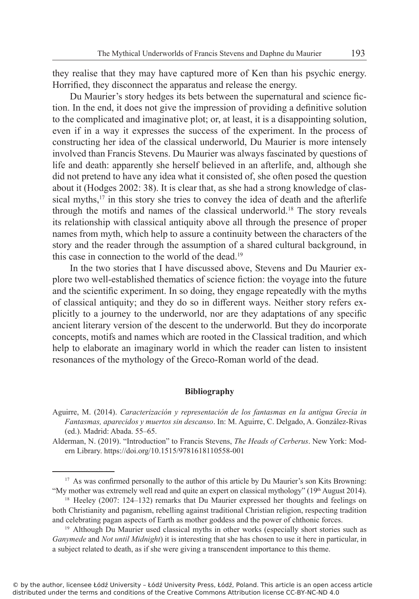they realise that they may have captured more of Ken than his psychic energy. Horrified, they disconnect the apparatus and release the energy.

Du Maurier's story hedges its bets between the supernatural and science fiction. In the end, it does not give the impression of providing a definitive solution to the complicated and imaginative plot; or, at least, it is a disappointing solution, even if in a way it expresses the success of the experiment. In the process of constructing her idea of the classical underworld, Du Maurier is more intensely involved than Francis Stevens. Du Maurier was always fascinated by questions of life and death: apparently she herself believed in an afterlife, and, although she did not pretend to have any idea what it consisted of, she often posed the question about it (Hodges 2002: 38). It is clear that, as she had a strong knowledge of classical myths,<sup>17</sup> in this story she tries to convey the idea of death and the afterlife through the motifs and names of the classical underworld.<sup>18</sup> The story reveals its relationship with classical antiquity above all through the presence of proper names from myth, which help to assure a continuity between the characters of the story and the reader through the assumption of a shared cultural background, in this case in connection to the world of the dead.<sup>19</sup>

In the two stories that I have discussed above, Stevens and Du Maurier explore two well-established thematics of science fiction: the voyage into the future and the scientific experiment. In so doing, they engage repeatedly with the myths of classical antiquity; and they do so in different ways. Neither story refers explicitly to a journey to the underworld, nor are they adaptations of any specific ancient literary version of the descent to the underworld. But they do incorporate concepts, motifs and names which are rooted in the Classical tradition, and which help to elaborate an imaginary world in which the reader can listen to insistent resonances of the mythology of the Greco-Roman world of the dead.

#### **Bibliography**

Aguirre, M. (2014). *Caracterización y representación de los fantasmas en la antigua Grecia in Fantasmas, aparecidos y muertos sin descanso*. In: M. Aguirre, C. Delgado, A. González-Rivas (ed.). Madrid: Abada. 55–65.

Alderman, N. (2019). "Introduction" to Francis Stevens, *The Heads of Cerberus*. New York: Modern Library. https://doi.org/10.1515/9781618110558-001

<sup>&</sup>lt;sup>17</sup> As was confirmed personally to the author of this article by Du Maurier's son Kits Browning: "My mother was extremely well read and quite an expert on classical mythology" (19th August 2014).

<sup>&</sup>lt;sup>18</sup> Heeley (2007: 124–132) remarks that Du Maurier expressed her thoughts and feelings on both Christianity and paganism, rebelling against traditional Christian religion, respecting tradition and celebrating pagan aspects of Earth as mother goddess and the power of chthonic forces.

<sup>&</sup>lt;sup>19</sup> Although Du Maurier used classical myths in other works (especially short stories such as *Ganymede* and *Not until Midnight*) it is interesting that she has chosen to use it here in particular, in a subject related to death, as if she were giving a transcendent importance to this theme.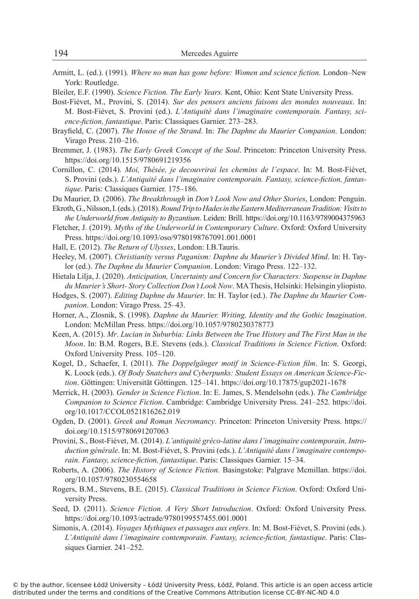Armitt, L. (ed.). (1991). *Where no man has gone before: Women and science fiction.* London–New York: Routledge.

Bleiler, E.F. (1990). *Science Fiction. The Early Years.* Kent, Ohio: Kent State University Press.

Bost-Fiévet, M., Provini, S. (2014). *Sur des pensers anciens faisons des mondes nouveaux*. In: M. Bost-Fiévet, S. Provini (ed.). *L'Antiquité dans l'imaginaire contemporain. Fantasy, science-fiction, fantastique*. Paris: Classiques Garnier. 273–283.

- Brayfield, C. (2007). *The House of the Strand.* In: *The Daphne du Maurier Companion*. London: Virago Press. 210–216.
- Bremmer, J. (1983). *The Early Greek Concept of the Soul*. Princeton: Princeton University Press. https://doi.org/10.1515/9780691219356
- Cornillon, C. (2014). *Moi, Thésée, je decouvrirai les chemins de l'espace*. In: M. Bost-Fiévet, S. Provini (eds.). *L'Antiquité dans l'imaginaire contemporain. Fantasy, science-fiction, fantastique*. Paris: Classiques Garnier. 175–186.
- Du Maurier, D. (2006). *The Breakthrough* in *Don't Look Now and Other Stories*, London: Penguin.
- Ekroth, G., Nilsson, I. (eds.). (2018). *Round Trip to Hades in the Eastern Mediterranean Tradition: Visits to the Underworld from Antiquity to Byzantium*. Leiden: Brill. https://doi.org/10.1163/9789004375963
- Fletcher, J. (2019). *Myths of the Underworld in Contemporary Culture*. Oxford: Oxford University Press. https://doi.org/10.1093/oso/9780198767091.001.0001
- Hall, E. (2012). *The Return of Ulysses*, London: I.B.Tauris.
- Heeley, M. (2007). *Christianity versus Paganism: Daphne du Maurier's Divided Mind*. In: H. Taylor (ed.). *The Daphne du Maurier Companion*. London: Virago Press. 122–132.
- Hietala Lilja, J. (2020). *Anticipation, Uncertainty and Concern for Characters: Suspense in Daphne du Maurier's Short- Story Collection Don't Look Now*. MA Thesis, Helsinki: Helsingin yliopisto.
- Hodges, S. (2007). *Editing Daphne du Maurier*. In: H. Taylor (ed.). *The Daphne du Maurier Companion*. London: Virago Press. 25–43.
- Horner, A., Zlosnik, S. (1998). *Daphne du Maurier. Writing, Identity and the Gothic Imagination*. London: McMillan Press. https://doi.org/10.1057/9780230378773
- Keen, A. (2015). *Mr*. *Lucian in Suburbia: Links Between the True History and The First Man in the Moon*. In: B.M. Rogers, B.E. Stevens (eds.). *Classical Traditions in Science Fiction*. Oxford: Oxford University Press. 105–120.
- Kogel, D., Schaefer, I. (2011). *The Doppelgӓnger motif in Science-Fiction film*. In: S. Georgi, K. Loock (eds.). *Of Body Snatchers and Cyberpunks: Student Essays on American Science-Fiction*. Gӧttingen: Universitӓt Gӧttingen. 125–141. https://doi.org/10.17875/gup2021-1678
- Merrick, H. (2003). *Gender in Science Fiction*. In: E. James, S. Mendelsohn (eds.). *The Cambridge Companion to Science Fiction*. Cambridge: Cambridge University Press. 241–252. https://doi. org/10.1017/CCOL0521816262.019
- Ogden, D. (2001). *Greek and Roman Necromancy*. Princeton: Princeton University Press. https:// doi.org/10.1515/9780691207063
- Provini, S., Bost-Fiévet, M. (2014). *L'antiquité gréco-latine dans l'imaginaire contemporain, Introduction générale*. In: M. Bost-Fiévet, S. Provini (eds.). *L'Antiquité dans l'imaginaire contemporain. Fantasy, science-fiction, fantastique*. Paris: Classiques Garnier. 15–34.
- Roberts, A. (2006). *The History of Science Fiction*. Basingstoke: Palgrave Mcmillan. https://doi. org/10.1057/9780230554658
- Rogers, B.M., Stevens, B.E. (2015). *Classical Traditions in Science Fiction*. Oxford: Oxford University Press.
- Seed, D. (2011). *Science Fiction. A Very Short Introduction*. Oxford: Oxford University Press. https://doi.org/10.1093/actrade/9780199557455.001.0001
- Simonis, A. (2014). *Voyages Mythiques et passages aux enfers*. In: M. Bost-Fiévet, S. Provini (eds.). *L'Antiquité dans l'imaginaire contemporain. Fantasy, science-fiction, fantastique*. Paris: Classiques Garnier. 241–252.